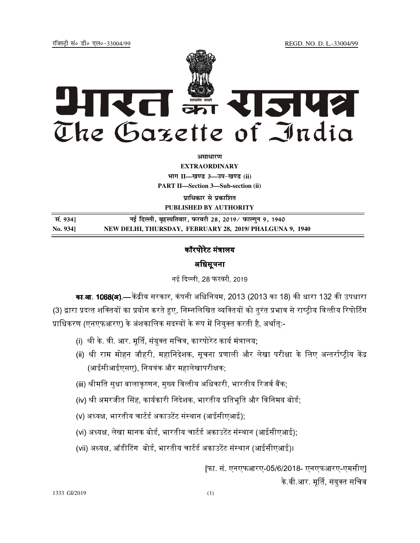jftLVªh laö Mhö ,yö&33004@99 REGD. NO. D. L.-33004/99



*<u>aurentur</u>* 

**EXTRAORDINARY Hkkx II—[k.M 3—mi&[k.M (ii) PART II—Section 3—Sub-section (ii)** 

**प्राधिकार से प्रकाशित PUBLISHED BY AUTHORITY**

 **la- 934] ubZ fnYyh] c`gLifrokj] iQjojh 28] 2019@ iQkYxqu 9] 1940 No. 934] NEW DELHI, THURSDAY, FEBRUARY 28, 2019/ PHALGUNA 9, 1940**

# कॉरपोरेट मंत्रालय

### अिधसूचना

नई दिल्ली, 28 फरवरी, 2019

**का.आ. 1068(अ).—** केंद्रीय सरकार, कंपनी अधिनियम, 2013 (2013 का 18) की धारा 132 की उपधारा (3) द्वारा प्रदत्त शक्तियों का प्रयोग करते हुए, निम्नलिखित व्यक्तियों को तुरंत प्रभाव से राष्ट्रीय वित्तीय रिपोर्टिंग प्राधिकरण (एनएफआरए) के अंशकालिक सदस्यों के रूप में नियक्त करती है. अर्थात:-

- (i) श्री के. वी. आर. मूर्ति, संयुक्त सचिव, कारपोरेट कार्य मंत्रालय;
- (ii) श्री राम मोहन जौहरी, महानिदेशक, सूचना प्रणाली और लेखा परीक्षा के लिए अन्तर्राष्ट्रीय केंद्र (आईसीआईएसए), नियत्रंक और महालेखापरीक्षक;
- (iii) श्रीमति सुधा बालाकृष्णन, मुख्य वित्तीय अधिकारी, भारतीय रिजर्व बैंक;
- (iv) श्री अमरजीत सिंह, कार्यकारी निदेशक, भारतीय प्रतिभूति और विनिमय बोर्ड;
- (v) अध्यक्ष. भारतीय चार्टर्ड अकाउटेंट संस्थान (आईसीएआई):
- (vi) अध्यक्ष, लेखा मानक बोर्ड, भारतीय चार्टर्ड अकाउटेंट संस्थान (आईसीएआई);
- (vii) अध्यक्ष, ऑडीटिंग बोर्ड, भारतीय चार्टर्ड अकाउटेंट संस्थान (आईसीएआई)।

[फा. सं. एनएफआरए-05/6/2018- एनएफआरए-एमसीए] के वी आर. मूर्ति, संयुक्त सचिव